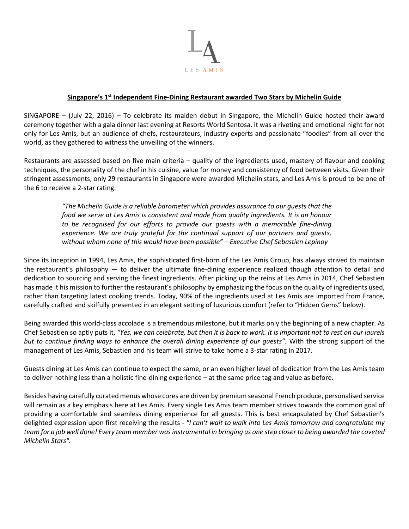

# **Singapore's 1st Independent Fine-Dining Restaurant awarded Two Stars by Michelin Guide**

SINGAPORE – (July 22, 2016) – To celebrate its maiden debut in Singapore, the Michelin Guide hosted their award ceremony together with a gala dinner last evening at Resorts World Sentosa. It was a riveting and emotional night for not only for Les Amis, but an audience of chefs, restaurateurs, industry experts and passionate "foodies" from all over the world, as they gathered to witness the unveiling of the winners.

Restaurants are assessed based on five main criteria – quality of the ingredients used, mastery of flavour and cooking techniques, the personality of the chef in his cuisine, value for money and consistency of food between visits. Given their stringent assessments, only 29 restaurants in Singapore were awarded Michelin stars, and Les Amis is proud to be one of the 6 to receive a 2-star rating.

> *"The Michelin Guide is a reliable barometer which provides assurance to our guests that the food we serve at Les Amis is consistent and made from quality ingredients. It is an honour* to be recognised for our efforts to provide our guests with a memorable fine-dining *experience. We are truly grateful for the continual support of our partners and guests, without whom none of this would have been possible" – Executive Chef Sebastien Lepinoy*

Since its inception in 1994, Les Amis, the sophisticated first-born of the Les Amis Group, has always strived to maintain the restaurant's philosophy — to deliver the ultimate fine-dining experience realized though attention to detail and dedication to sourcing and serving the finest ingredients. After picking up the reins at Les Amis in 2014, Chef Sebastien has made it his mission to further the restaurant's philosophy by emphasizing the focus on the quality of ingredients used, rather than targeting latest cooking trends. Today, 90% of the ingredients used at Les Amis are imported from France, carefully crafted and skilfully presented in an elegant setting of luxurious comfort (refer to "Hidden Gems" below).

Being awarded this world-class accolade is a tremendous milestone, but it marks only the beginning of a new chapter. As Chef Sebastien so aptly puts it, *"Yes, we can celebrate, but then it is back to work. It is important not to rest on our laurels but to continue finding ways to enhance the overall dining experience of our guests".* With the strong support of the management of Les Amis, Sebastien and his team will strive to take home a 3-star rating in 2017.

Guests dining at Les Amis can continue to expect the same, or an even higher level of dedication from the Les Amis team to deliver nothing less than a holistic fine-dining experience – at the same price tag and value as before.

Besides having carefully curated menus whose cores are driven by premium seasonal French produce, personalised service will remain as a key emphasis here at Les Amis. Every single Les Amis team member strives towards the common goal of providing a comfortable and seamless dining experience for all guests. This is best encapsulated by Chef Sebastien's delighted expression upon first receiving the results - *"I can't wait to walk into Les Amis tomorrow and congratulate my team for a job well done! Every team member was instrumental in bringing us one step closer to being awarded the coveted Michelin Stars".*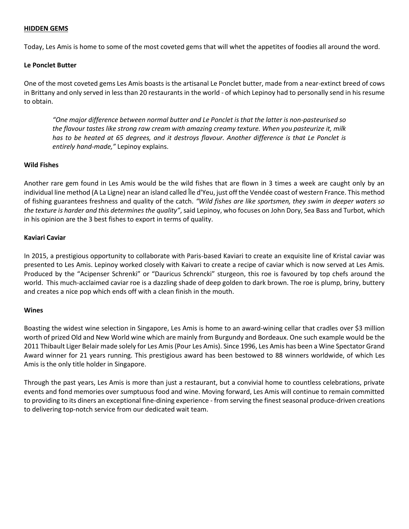## **HIDDEN GEMS**

Today, Les Amis is home to some of the most coveted gems that will whet the appetites of foodies all around the word.

## **Le Ponclet Butter**

One of the most coveted gems Les Amis boasts is the artisanal Le Ponclet butter, made from a near-extinct breed of cows in Brittany and only served in less than 20 restaurants in the world - of which Lepinoy had to personally send in his resume to obtain.

*"One major difference between normal butter and Le Ponclet is that the latter is non-pasteurised so the flavour tastes like strong raw cream with amazing creamy texture. When you pasteurize it, milk has to be heated at 65 degrees, and it destroys flavour. Another difference is that Le Ponclet is entirely hand-made,"* Lepinoy explains.

## **Wild Fishes**

Another rare gem found in Les Amis would be the wild fishes that are flown in 3 times a week are caught only by an individual line method (A La Ligne) near an island called Île d'Yeu, just off the Vendée coast of western France. This method of fishing guarantees freshness and quality of the catch. *"Wild fishes are like sportsmen, they swim in deeper waters so the texture is harder and this determines the quality"*, said Lepinoy, who focuses on John Dory, Sea Bass and Turbot, which in his opinion are the 3 best fishes to export in terms of quality.

### **Kaviari Caviar**

In 2015, a prestigious opportunity to collaborate with Paris-based Kaviari to create an exquisite line of Kristal caviar was presented to Les Amis. Lepinoy worked closely with Kaivari to create a recipe of caviar which is now served at Les Amis. Produced by the "Acipenser Schrenki" or "Dauricus Schrencki" sturgeon, this roe is favoured by top chefs around the world. This much-acclaimed caviar roe is a dazzling shade of deep golden to dark brown. The roe is plump, briny, buttery and creates a nice pop which ends off with a clean finish in the mouth.

#### **Wines**

Boasting the widest wine selection in Singapore, Les Amis is home to an award-wining cellar that cradles over \$3 million worth of prized Old and New World wine which are mainly from Burgundy and Bordeaux. One such example would be the 2011 Thibault Liger Belair made solely for Les Amis(Pour Les Amis). Since 1996, Les Amis has been a Wine Spectator Grand Award winner for 21 years running. This prestigious award has been bestowed to 88 winners worldwide, of which Les Amis is the only title holder in Singapore.

Through the past years, Les Amis is more than just a restaurant, but a convivial home to countless celebrations, private events and fond memories over sumptuous food and wine. Moving forward, Les Amis will continue to remain committed to providing to its diners an exceptional fine-dining experience - from serving the finest seasonal produce-driven creations to delivering top-notch service from our dedicated wait team.